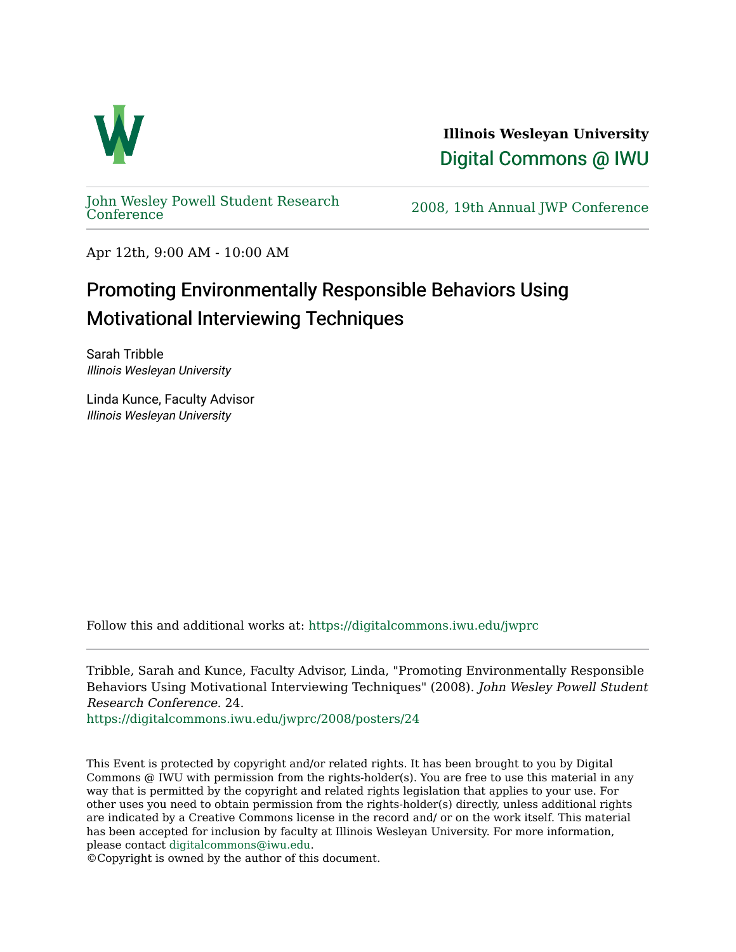

**Illinois Wesleyan University**  [Digital Commons @ IWU](https://digitalcommons.iwu.edu/) 

[John Wesley Powell Student Research](https://digitalcommons.iwu.edu/jwprc) 

2008, 19th Annual JWP [Conference](https://digitalcommons.iwu.edu/jwprc)

Apr 12th, 9:00 AM - 10:00 AM

## Promoting Environmentally Responsible Behaviors Using Motivational Interviewing Techniques

Sarah Tribble Illinois Wesleyan University

Linda Kunce, Faculty Advisor Illinois Wesleyan University

Follow this and additional works at: [https://digitalcommons.iwu.edu/jwprc](https://digitalcommons.iwu.edu/jwprc?utm_source=digitalcommons.iwu.edu%2Fjwprc%2F2008%2Fposters%2F24&utm_medium=PDF&utm_campaign=PDFCoverPages) 

Tribble, Sarah and Kunce, Faculty Advisor, Linda, "Promoting Environmentally Responsible Behaviors Using Motivational Interviewing Techniques" (2008). John Wesley Powell Student Research Conference. 24.

[https://digitalcommons.iwu.edu/jwprc/2008/posters/24](https://digitalcommons.iwu.edu/jwprc/2008/posters/24?utm_source=digitalcommons.iwu.edu%2Fjwprc%2F2008%2Fposters%2F24&utm_medium=PDF&utm_campaign=PDFCoverPages)

This Event is protected by copyright and/or related rights. It has been brought to you by Digital Commons @ IWU with permission from the rights-holder(s). You are free to use this material in any way that is permitted by the copyright and related rights legislation that applies to your use. For other uses you need to obtain permission from the rights-holder(s) directly, unless additional rights are indicated by a Creative Commons license in the record and/ or on the work itself. This material has been accepted for inclusion by faculty at Illinois Wesleyan University. For more information, please contact [digitalcommons@iwu.edu.](mailto:digitalcommons@iwu.edu)

©Copyright is owned by the author of this document.